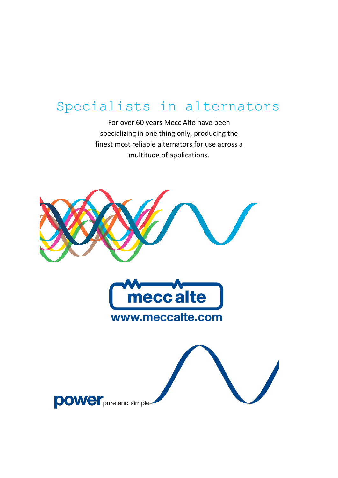For over 60 years Mecc Alte have been specializing in one thing only, producing the finest most reliable alternators for use across a multitude of applications.

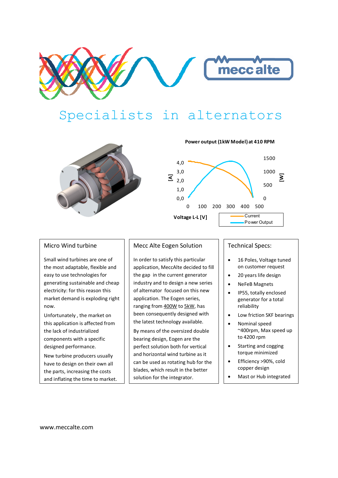



**Power output (1kW Model) at 410 RPM**



#### Micro Wind turbine

Small wind turbines are one of the most adaptable, flexible and easy to use technologies for generating sustainable and cheap electricity: for this reason this market demand is exploding right now.

Unfortunately , the market on this application is affected from the lack of industrialized components with a specific designed performance.

New turbine producers usually have to design on their own all the parts, increasing the costs and inflating the time to market.

### Mecc Alte Eogen Solution

In order to satisfy this particular application, MeccAlte decided to fill the gap in the current generator industry and to design a new series of alternator focused on this new application. The Eogen series, ranging from 400W to 5kW, has been consequently designed with the latest technology available.

By means of the oversized double bearing design, Eogen are the perfect solution both for vertical and horizontal wind turbine as it can be used as rotating hub for the blades, which result in the better solution for the integrator.

#### Technical Specs:

- 16 Poles, Voltage tuned on customer request
- 20 years life design
- NeFeB Magnets
- IP55, totally enclosed generator for a total reliability
- Low friction SKF bearings
- Nominal speed ~400rpm, Max speed up to 4200 rpm
- Starting and cogging torque minimized
- Efficiency >90%, cold copper design
- Mast or Hub integrated

www.meccalte.com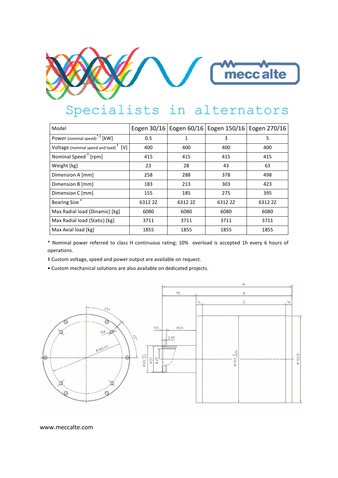

| Model                                             | Eogen 30/16 |         | Eogen 60/16   Eogen 150/16   Eogen 270/16 |         |
|---------------------------------------------------|-------------|---------|-------------------------------------------|---------|
| Power (nominal speed) <sup>*,‡</sup> [kW]         | 0.5         | 1       | 3                                         | 5       |
| Voltage (nominal speed and load) $^{\dagger}$ [V] | 400         | 400     | 400                                       | 400     |
| Nominal Speed <sup>#</sup> [rpm]                  | 415         | 415     | 415                                       | 415     |
| Weight [kg]                                       | 23          | 28      | 43                                        | 63      |
| Dimension A [mm]                                  | 258         | 288     | 378                                       | 498     |
| Dimension B [mm]                                  | 183         | 213     | 303                                       | 423     |
| Dimension C [mm]                                  | 155         | 185     | 275                                       | 395     |
| <b>Bearing Size</b>                               | 6312 2Z     | 6312 2Z | 6312 2Z                                   | 6312 2Z |
| Max Radial load (Dinamic) [kg]                    | 6080        | 6080    | 6080                                      | 6080    |
| Max Radial load (Static) [kg]                     | 3711        | 3711    | 3711                                      | 3711    |
| Max Axial load [kg]                               | 1855        | 1855    | 1855                                      | 1855    |

\* Nominal power referred to class H continuous rating; 10% overload is accepted 1h every 6 hours of operations.

‡ Custom voltage, speed and power output are available on request.

• Custom mechanical solutions are also available on dedicated projects.



www.meccalte.com